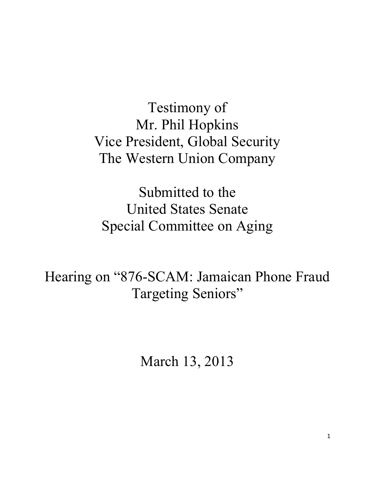Testimony of Mr. Phil Hopkins Vice President, Global Security The Western Union Company

Submitted to the United States Senate Special Committee on Aging

Hearing on "876-SCAM: Jamaican Phone Fraud Targeting Seniors"

March 13, 2013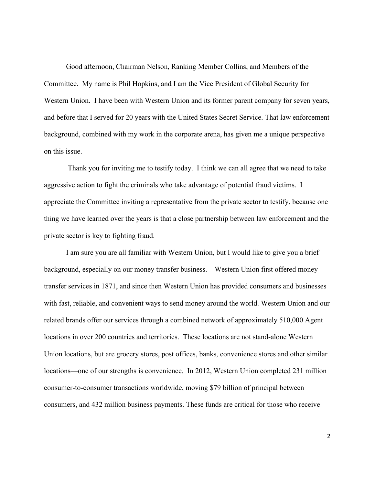Good afternoon, Chairman Nelson, Ranking Member Collins, and Members of the Committee. My name is Phil Hopkins, and I am the Vice President of Global Security for Western Union. I have been with Western Union and its former parent company for seven years, and before that I served for 20 years with the United States Secret Service. That law enforcement background, combined with my work in the corporate arena, has given me a unique perspective on this issue.

Thank you for inviting me to testify today. I think we can all agree that we need to take aggressive action to fight the criminals who take advantage of potential fraud victims. I appreciate the Committee inviting a representative from the private sector to testify, because one thing we have learned over the years is that a close partnership between law enforcement and the private sector is key to fighting fraud.

I am sure you are all familiar with Western Union, but I would like to give you a brief background, especially on our money transfer business. Western Union first offered money transfer services in 1871, and since then Western Union has provided consumers and businesses with fast, reliable, and convenient ways to send money around the world. Western Union and our related brands offer our services through a combined network of approximately 510,000 Agent locations in over 200 countries and territories. These locations are not stand-alone Western Union locations, but are grocery stores, post offices, banks, convenience stores and other similar locations—one of our strengths is convenience. In 2012, Western Union completed 231 million consumer-to-consumer transactions worldwide, moving \$79 billion of principal between consumers, and 432 million business payments. These funds are critical for those who receive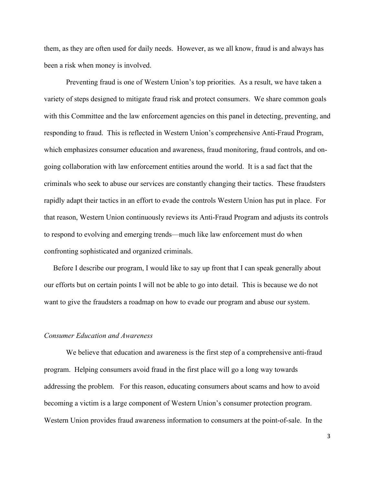them, as they are often used for daily needs. However, as we all know, fraud is and always has been a risk when money is involved.

Preventing fraud is one of Western Union's top priorities. As a result, we have taken a variety of steps designed to mitigate fraud risk and protect consumers. We share common goals with this Committee and the law enforcement agencies on this panel in detecting, preventing, and responding to fraud. This is reflected in Western Union's comprehensive Anti-Fraud Program, which emphasizes consumer education and awareness, fraud monitoring, fraud controls, and ongoing collaboration with law enforcement entities around the world. It is a sad fact that the criminals who seek to abuse our services are constantly changing their tactics. These fraudsters rapidly adapt their tactics in an effort to evade the controls Western Union has put in place. For that reason, Western Union continuously reviews its Anti-Fraud Program and adjusts its controls to respond to evolving and emerging trends—much like law enforcement must do when confronting sophisticated and organized criminals.

 Before I describe our program, I would like to say up front that I can speak generally about our efforts but on certain points I will not be able to go into detail. This is because we do not want to give the fraudsters a roadmap on how to evade our program and abuse our system.

# *Consumer Education and Awareness*

We believe that education and awareness is the first step of a comprehensive anti-fraud program. Helping consumers avoid fraud in the first place will go a long way towards addressing the problem. For this reason, educating consumers about scams and how to avoid becoming a victim is a large component of Western Union's consumer protection program. Western Union provides fraud awareness information to consumers at the point-of-sale. In the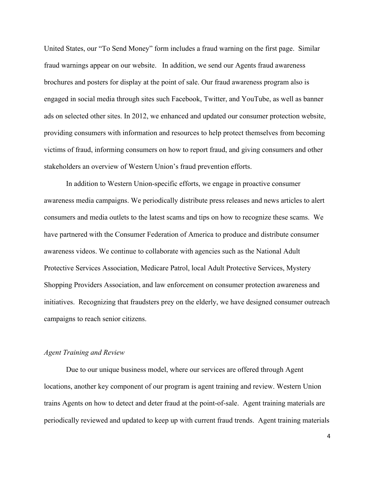United States, our "To Send Money" form includes a fraud warning on the first page. Similar fraud warnings appear on our website. In addition, we send our Agents fraud awareness brochures and posters for display at the point of sale. Our fraud awareness program also is engaged in social media through sites such Facebook, Twitter, and YouTube, as well as banner ads on selected other sites. In 2012, we enhanced and updated our consumer protection website, providing consumers with information and resources to help protect themselves from becoming victims of fraud, informing consumers on how to report fraud, and giving consumers and other stakeholders an overview of Western Union's fraud prevention efforts.

In addition to Western Union-specific efforts, we engage in proactive consumer awareness media campaigns. We periodically distribute press releases and news articles to alert consumers and media outlets to the latest scams and tips on how to recognize these scams. We have partnered with the Consumer Federation of America to produce and distribute consumer awareness videos. We continue to collaborate with agencies such as the National Adult Protective Services Association, Medicare Patrol, local Adult Protective Services, Mystery Shopping Providers Association, and law enforcement on consumer protection awareness and initiatives. Recognizing that fraudsters prey on the elderly, we have designed consumer outreach campaigns to reach senior citizens.

# *Agent Training and Review*

Due to our unique business model, where our services are offered through Agent locations, another key component of our program is agent training and review. Western Union trains Agents on how to detect and deter fraud at the point-of-sale. Agent training materials are periodically reviewed and updated to keep up with current fraud trends. Agent training materials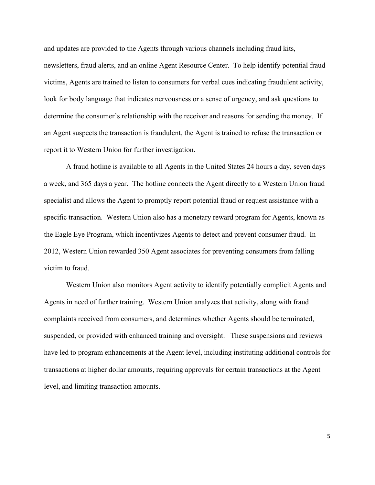and updates are provided to the Agents through various channels including fraud kits, newsletters, fraud alerts, and an online Agent Resource Center. To help identify potential fraud victims, Agents are trained to listen to consumers for verbal cues indicating fraudulent activity, look for body language that indicates nervousness or a sense of urgency, and ask questions to determine the consumer's relationship with the receiver and reasons for sending the money. If an Agent suspects the transaction is fraudulent, the Agent is trained to refuse the transaction or report it to Western Union for further investigation.

A fraud hotline is available to all Agents in the United States 24 hours a day, seven days a week, and 365 days a year. The hotline connects the Agent directly to a Western Union fraud specialist and allows the Agent to promptly report potential fraud or request assistance with a specific transaction. Western Union also has a monetary reward program for Agents, known as the Eagle Eye Program, which incentivizes Agents to detect and prevent consumer fraud. In 2012, Western Union rewarded 350 Agent associates for preventing consumers from falling victim to fraud.

Western Union also monitors Agent activity to identify potentially complicit Agents and Agents in need of further training. Western Union analyzes that activity, along with fraud complaints received from consumers, and determines whether Agents should be terminated, suspended, or provided with enhanced training and oversight. These suspensions and reviews have led to program enhancements at the Agent level, including instituting additional controls for transactions at higher dollar amounts, requiring approvals for certain transactions at the Agent level, and limiting transaction amounts.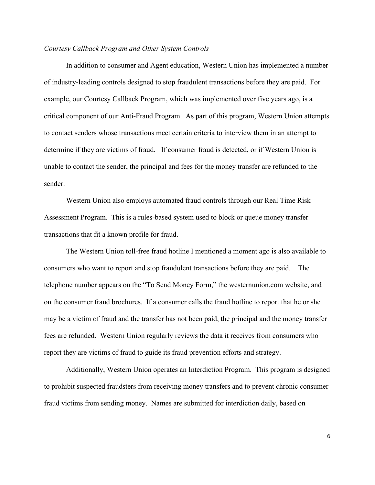# *Courtesy Callback Program and Other System Controls*

In addition to consumer and Agent education, Western Union has implemented a number of industry-leading controls designed to stop fraudulent transactions before they are paid. For example, our Courtesy Callback Program, which was implemented over five years ago, is a critical component of our Anti-Fraud Program. As part of this program, Western Union attempts to contact senders whose transactions meet certain criteria to interview them in an attempt to determine if they are victims of fraud. If consumer fraud is detected, or if Western Union is unable to contact the sender, the principal and fees for the money transfer are refunded to the sender.

Western Union also employs automated fraud controls through our Real Time Risk Assessment Program. This is a rules-based system used to block or queue money transfer transactions that fit a known profile for fraud.

The Western Union toll-free fraud hotline I mentioned a moment ago is also available to consumers who want to report and stop fraudulent transactions before they are paid. The telephone number appears on the "To Send Money Form," the westernunion.com website, and on the consumer fraud brochures. If a consumer calls the fraud hotline to report that he or she may be a victim of fraud and the transfer has not been paid, the principal and the money transfer fees are refunded. Western Union regularly reviews the data it receives from consumers who report they are victims of fraud to guide its fraud prevention efforts and strategy.

Additionally, Western Union operates an Interdiction Program. This program is designed to prohibit suspected fraudsters from receiving money transfers and to prevent chronic consumer fraud victims from sending money. Names are submitted for interdiction daily, based on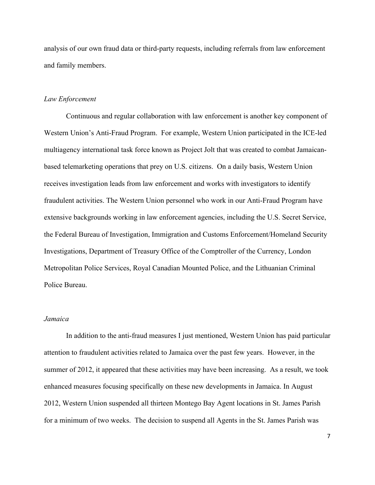analysis of our own fraud data or third-party requests, including referrals from law enforcement and family members.

## *Law Enforcement*

Continuous and regular collaboration with law enforcement is another key component of Western Union's Anti-Fraud Program. For example, Western Union participated in the ICE-led multiagency international task force known as Project Jolt that was created to combat Jamaicanbased telemarketing operations that prey on U.S. citizens. On a daily basis, Western Union receives investigation leads from law enforcement and works with investigators to identify fraudulent activities. The Western Union personnel who work in our Anti-Fraud Program have extensive backgrounds working in law enforcement agencies, including the U.S. Secret Service, the Federal Bureau of Investigation, Immigration and Customs Enforcement/Homeland Security Investigations, Department of Treasury Office of the Comptroller of the Currency, London Metropolitan Police Services, Royal Canadian Mounted Police, and the Lithuanian Criminal Police Bureau.

#### *Jamaica*

In addition to the anti-fraud measures I just mentioned, Western Union has paid particular attention to fraudulent activities related to Jamaica over the past few years. However, in the summer of 2012, it appeared that these activities may have been increasing. As a result, we took enhanced measures focusing specifically on these new developments in Jamaica. In August 2012, Western Union suspended all thirteen Montego Bay Agent locations in St. James Parish for a minimum of two weeks. The decision to suspend all Agents in the St. James Parish was